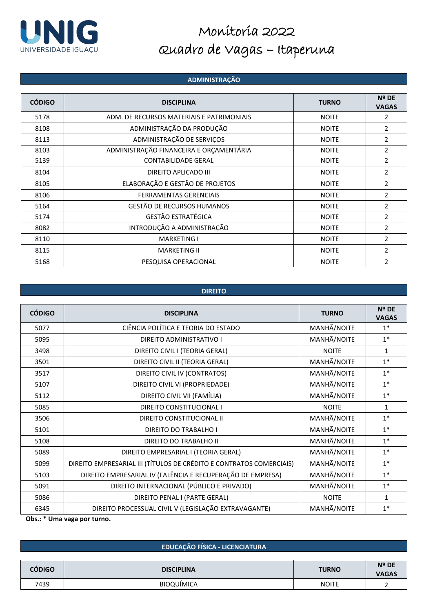

### **ADMINISTRAÇÃO**

| <b>CÓDIGO</b> | <b>DISCIPLINA</b>                         | <b>TURNO</b> | Nº DE<br><b>VAGAS</b> |
|---------------|-------------------------------------------|--------------|-----------------------|
| 5178          | ADM. DE RECURSOS MATERIAIS E PATRIMONIAIS | <b>NOITE</b> | 2                     |
| 8108          | ADMINISTRAÇÃO DA PRODUÇÃO                 | <b>NOITE</b> | $\overline{2}$        |
| 8113          | ADMINISTRAÇÃO DE SERVIÇOS                 | <b>NOITE</b> | $\overline{2}$        |
| 8103          | ADMINISTRAÇÃO FINANCEIRA E ORÇAMENTÁRIA   | <b>NOITE</b> | $\overline{2}$        |
| 5139          | <b>CONTABILIDADE GERAL</b>                | <b>NOITE</b> | $\overline{2}$        |
| 8104          | DIREITO APLICADO III                      | <b>NOITE</b> | $\overline{2}$        |
| 8105          | ELABORAÇÃO E GESTÃO DE PROJETOS           | <b>NOITE</b> | 2                     |
| 8106          | <b>FERRAMENTAS GERENCIAIS</b>             | <b>NOITE</b> | 2                     |
| 5164          | GESTÃO DE RECURSOS HUMANOS                | <b>NOITE</b> | 2                     |
| 5174          | <b>GESTÃO ESTRATÉGICA</b>                 | <b>NOITE</b> | $\overline{2}$        |
| 8082          | INTRODUÇÃO A ADMINISTRAÇÃO                | <b>NOITE</b> | 2                     |
| 8110          | <b>MARKETING I</b>                        | <b>NOITE</b> | $\overline{2}$        |
| 8115          | <b>MARKETING II</b>                       | <b>NOITE</b> | $\overline{2}$        |
| 5168          | PESQUISA OPERACIONAL                      | <b>NOITE</b> | $\overline{2}$        |

### **DIREITO**

| <b>CÓDIGO</b> | <b>DISCIPLINA</b>                                                   | <b>TURNO</b> | Nº DE<br><b>VAGAS</b> |
|---------------|---------------------------------------------------------------------|--------------|-----------------------|
| 5077          | CIÊNCIA POLÍTICA E TEORIA DO ESTADO                                 | MANHÃ/NOITE  | $1^*$                 |
| 5095          | DIREITO ADMINISTRATIVO I                                            | MANHÃ/NOITE  | $1*$                  |
| 3498          | DIREITO CIVIL I (TEORIA GERAL)                                      | <b>NOITE</b> | 1                     |
| 3501          | DIREITO CIVIL II (TEORIA GERAL)                                     | MANHÃ/NOITE  | $1*$                  |
| 3517          | DIREITO CIVIL IV (CONTRATOS)                                        | MANHÃ/NOITE  | $1*$                  |
| 5107          | DIREITO CIVIL VI (PROPRIEDADE)                                      | MANHÃ/NOITE  | $1*$                  |
| 5112          | DIREITO CIVIL VII (FAMÍLIA)                                         | MANHÃ/NOITE  | $1*$                  |
| 5085          | DIREITO CONSTITUCIONAL I                                            | <b>NOITE</b> | $\mathbf{1}$          |
| 3506          | DIREITO CONSTITUCIONAL II                                           | MANHÃ/NOITE  | $1*$                  |
| 5101          | DIREITO DO TRABALHO I                                               | MANHÃ/NOITE  | $1*$                  |
| 5108          | DIREITO DO TRABALHO II                                              | MANHÃ/NOITE  | $1*$                  |
| 5089          | DIREITO EMPRESARIAL I (TEORIA GERAL)                                | MANHÃ/NOITE  | $1*$                  |
| 5099          | DIREITO EMPRESARIAL III (TÍTULOS DE CRÉDITO E CONTRATOS COMERCIAIS) | MANHÃ/NOITE  | $1*$                  |
| 5103          | DIREITO EMPRESARIAL IV (FALÊNCIA E RECUPERAÇÃO DE EMPRESA)          | MANHÃ/NOITE  | $1*$                  |
| 5091          | DIREITO INTERNACIONAL (PÚBLICO E PRIVADO)                           | MANHÃ/NOITE  | $1*$                  |
| 5086          | DIREITO PENAL I (PARTE GERAL)                                       | <b>NOITE</b> | 1                     |
| 6345          | DIREITO PROCESSUAL CIVIL V (LEGISLAÇÃO EXTRAVAGANTE)                | MANHÃ/NOITE  | $1*$                  |

**Obs.: \* Uma vaga por turno.**

|        | <b>EDUCAÇÃO FÍSICA - LICENCIATURA</b> |              |                                |
|--------|---------------------------------------|--------------|--------------------------------|
| CÓDIGO | <b>DISCIPLINA</b>                     | <b>TURNO</b> | $N^{\circ}$ DE<br><b>VAGAS</b> |
| 7439   | BIOQUÍMICA                            | <b>NOITE</b> |                                |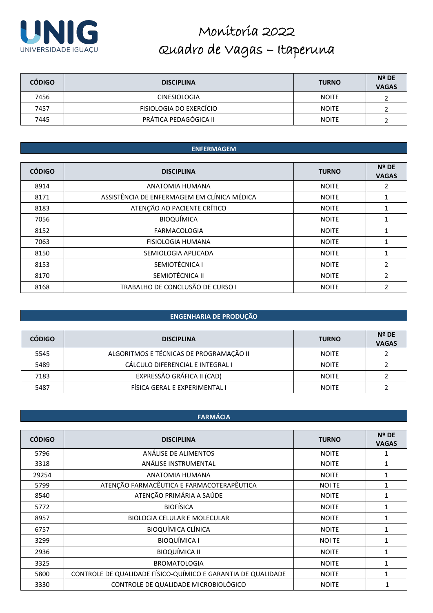

| <b>CÓDIGO</b> | <b>DISCIPLINA</b>       | <b>TURNO</b> | $N^{\circ}$ DE<br><b>VAGAS</b> |
|---------------|-------------------------|--------------|--------------------------------|
| 7456          | <b>CINESIOLOGIA</b>     | <b>NOITE</b> |                                |
| 7457          | FISIOLOGIA DO EXERCÍCIO | <b>NOITE</b> |                                |
| 7445          | PRÁTICA PEDAGÓGICA II   | <b>NOITE</b> |                                |

### **ENFERMAGEM**

| <b>CÓDIGO</b> | <b>DISCIPLINA</b>                           | <b>TURNO</b> | Nº DE<br><b>VAGAS</b> |
|---------------|---------------------------------------------|--------------|-----------------------|
| 8914          | ANATOMIA HUMANA                             | <b>NOITE</b> | 2                     |
| 8171          | ASSISTÊNCIA DE ENFERMAGEM EM CLÍNICA MÉDICA | <b>NOITE</b> | 1                     |
| 8183          | ATENÇÃO AO PACIENTE CRÍTICO                 | <b>NOITE</b> |                       |
| 7056          | <b>BIOQUÍMICA</b>                           | <b>NOITE</b> |                       |
| 8152          | <b>FARMACOLOGIA</b>                         | <b>NOITE</b> |                       |
| 7063          | <b>FISIOLOGIA HUMANA</b>                    | <b>NOITE</b> |                       |
| 8150          | SEMIOLOGIA APLICADA                         | <b>NOITE</b> | 1                     |
| 8153          | SEMIOTÉCNICA I                              | <b>NOITE</b> | 2                     |
| 8170          | SEMIOTÉCNICA II                             | <b>NOITE</b> | $\overline{2}$        |
| 8168          | TRABALHO DE CONCLUSÃO DE CURSO I            | <b>NOITE</b> | 2                     |

### **ENGENHARIA DE PRODUÇÃO**

| <b>CÓDIGO</b> | <b>DISCIPLINA</b>                       | <b>TURNO</b> | $N^{\circ}$ DE<br><b>VAGAS</b> |
|---------------|-----------------------------------------|--------------|--------------------------------|
| 5545          | ALGORITMOS E TÉCNICAS DE PROGRAMAÇÃO II | <b>NOITE</b> |                                |
| 5489          | CÁLCULO DIFERENCIAL E INTEGRAL I        | <b>NOITE</b> |                                |
| 7183          | EXPRESSÃO GRÁFICA II (CAD)              | <b>NOITE</b> |                                |
| 5487          | FÍSICA GERAL E EXPERIMENTAL I           | <b>NOITE</b> |                                |

### **FARMÁCIA**

| <b>CÓDIGO</b> | <b>DISCIPLINA</b>                                            | <b>TURNO</b>  | <b>Nº DE</b> |
|---------------|--------------------------------------------------------------|---------------|--------------|
|               |                                                              |               | <b>VAGAS</b> |
| 5796          | ANÁLISE DE ALIMENTOS                                         | <b>NOITE</b>  | 1            |
| 3318          | ANÁLISE INSTRUMENTAL                                         | <b>NOITE</b>  | 1            |
| 29254         | ANATOMIA HUMANA                                              | <b>NOITE</b>  | $\mathbf{1}$ |
| 5799          | ATENÇÃO FARMACÊUTICA E FARMACOTERAPÊUTICA                    | <b>NOI TE</b> | 1            |
| 8540          | ATENÇÃO PRIMÁRIA A SAÚDE                                     | <b>NOITE</b>  | 1            |
| 5772          | <b>BIOFÍSICA</b>                                             | <b>NOITE</b>  | $\mathbf{1}$ |
| 8957          | <b>BIOLOGIA CELULAR E MOLECULAR</b>                          | <b>NOITE</b>  | 1            |
| 6757          | <b>BIOQUÍMICA CLÍNICA</b>                                    | <b>NOITE</b>  | 1            |
| 3299          | <b>BIOQUÍMICA I</b>                                          | <b>NOI TE</b> | 1            |
| 2936          | <b>BIOQUÍMICA II</b>                                         | <b>NOITE</b>  |              |
| 3325          | <b>BROMATOLOGIA</b>                                          | <b>NOITE</b>  | 1            |
| 5800          | CONTROLE DE QUALIDADE FÍSICO-QUÍMICO E GARANTIA DE QUALIDADE | <b>NOITE</b>  | 1            |
| 3330          | CONTROLE DE QUALIDADE MICROBIOLÓGICO                         | <b>NOITE</b>  |              |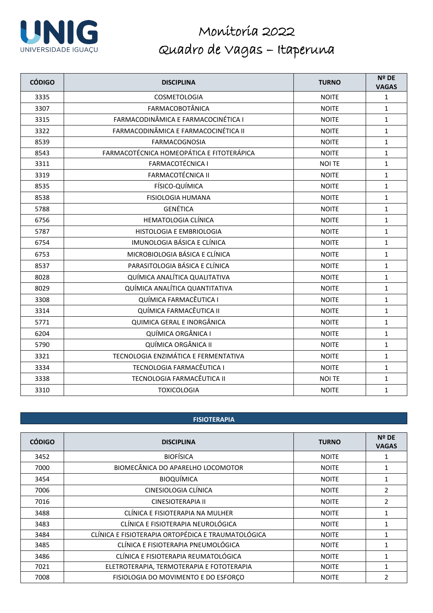

| <b>CÓDIGO</b> | <b>DISCIPLINA</b>                         | <b>TURNO</b>  | Nº DE<br><b>VAGAS</b> |
|---------------|-------------------------------------------|---------------|-----------------------|
| 3335          | COSMETOLOGIA                              | <b>NOITE</b>  | $\mathbf{1}$          |
| 3307          | <b>FARMACOBOTÂNICA</b>                    | <b>NOITE</b>  | $\mathbf{1}$          |
| 3315          | FARMACODINÂMICA E FARMACOCINÉTICA I       | <b>NOITE</b>  | $\mathbf{1}$          |
| 3322          | FARMACODINÂMICA E FARMACOCINÉTICA II      | <b>NOITE</b>  | $\mathbf{1}$          |
| 8539          | <b>FARMACOGNOSIA</b>                      | <b>NOITE</b>  | $\mathbf{1}$          |
| 8543          | FARMACOTÉCNICA HOMEOPÁTICA E FITOTERÁPICA | <b>NOITE</b>  | $\mathbf{1}$          |
| 3311          | <b>FARMACOTÉCNICA I</b>                   | <b>NOI TE</b> | $\mathbf{1}$          |
| 3319          | <b>FARMACOTÉCNICA II</b>                  | <b>NOITE</b>  | $\mathbf{1}$          |
| 8535          | FÍSICO-QUÍMICA                            | <b>NOITE</b>  | $\mathbf{1}$          |
| 8538          | <b>FISIOLOGIA HUMANA</b>                  | <b>NOITE</b>  | $\mathbf{1}$          |
| 5788          | <b>GENÉTICA</b>                           | <b>NOITE</b>  | $\mathbf{1}$          |
| 6756          | <b>HEMATOLOGIA CLÍNICA</b>                | <b>NOITE</b>  | $\mathbf{1}$          |
| 5787          | HISTOLOGIA E EMBRIOLOGIA                  | <b>NOITE</b>  | $\mathbf{1}$          |
| 6754          | IMUNOLOGIA BÁSICA E CLÍNICA               | <b>NOITE</b>  | $\mathbf{1}$          |
| 6753          | MICROBIOLOGIA BÁSICA E CLÍNICA            | <b>NOITE</b>  | $\mathbf{1}$          |
| 8537          | PARASITOLOGIA BÁSICA E CLÍNICA            | <b>NOITE</b>  | $\mathbf{1}$          |
| 8028          | QUÍMICA ANALÍTICA QUALITATIVA             | <b>NOITE</b>  | $\mathbf{1}$          |
| 8029          | QUÍMICA ANALÍTICA QUANTITATIVA            | <b>NOITE</b>  | $\mathbf{1}$          |
| 3308          | QUÍMICA FARMACÊUTICA I                    | <b>NOITE</b>  | $\mathbf{1}$          |
| 3314          | QUÍMICA FARMACÊUTICA II                   | <b>NOITE</b>  | $\mathbf{1}$          |
| 5771          | QUIMICA GERAL E INORGÂNICA                | <b>NOITE</b>  | $\mathbf{1}$          |
| 6204          | QUÍMICA ORGÂNICA I                        | <b>NOITE</b>  | $\mathbf{1}$          |
| 5790          | QUÍMICA ORGÂNICA II                       | <b>NOITE</b>  | $\mathbf{1}$          |
| 3321          | TECNOLOGIA ENZIMÁTICA E FERMENTATIVA      | <b>NOITE</b>  | $\mathbf{1}$          |
| 3334          | TECNOLOGIA FARMACÊUTICA I                 | <b>NOITE</b>  | $\mathbf{1}$          |
| 3338          | TECNOLOGIA FARMACÊUTICA II                | <b>NOI TE</b> | $\mathbf{1}$          |
| 3310          | <b>TOXICOLOGIA</b>                        | <b>NOITE</b>  | $\mathbf{1}$          |

### **FISIOTERAPIA**

| <b>CÓDIGO</b> | <b>DISCIPLINA</b>                                  | <b>TURNO</b> | <b>Nº DE</b><br><b>VAGAS</b> |
|---------------|----------------------------------------------------|--------------|------------------------------|
| 3452          | <b>BIOFÍSICA</b>                                   | <b>NOITE</b> | 1                            |
| 7000          | BIOMECÂNICA DO APARELHO LOCOMOTOR                  | <b>NOITE</b> |                              |
| 3454          | <b>BIOQUÍMICA</b>                                  | <b>NOITE</b> | 1                            |
| 7006          | CINESIOLOGIA CLÍNICA                               | <b>NOITE</b> | 2                            |
| 7016          | <b>CINESIOTERAPIA II</b>                           | <b>NOITE</b> | 2                            |
| 3488          | CLÍNICA E FISIOTERAPIA NA MULHER                   | <b>NOITE</b> | 1                            |
| 3483          | CLÍNICA E FISIOTERAPIA NEUROLÓGICA                 | <b>NOITE</b> | 1                            |
| 3484          | CLÍNICA E FISIOTERAPIA ORTOPÉDICA E TRAUMATOLÓGICA | <b>NOITE</b> | 1                            |
| 3485          | CLÍNICA E FISIOTERAPIA PNEUMOLÓGICA                | <b>NOITE</b> | 1                            |
| 3486          | CLÍNICA E FISIOTERAPIA REUMATOLÓGICA               | <b>NOITE</b> | 1                            |
| 7021          | ELETROTERAPIA, TERMOTERAPIA E FOTOTERAPIA          | <b>NOITE</b> | 1                            |
| 7008          | FISIOLOGIA DO MOVIMENTO E DO ESFORÇO               | <b>NOITE</b> | $\mathcal{P}$                |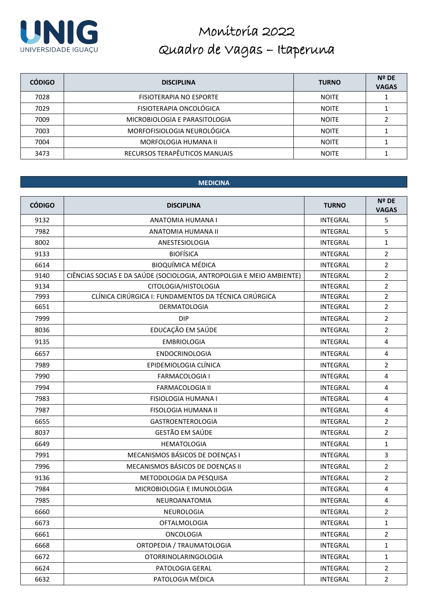

| <b>CÓDIGO</b> | <b>DISCIPLINA</b>             | <b>TURNO</b> | $N^{\circ}$ DE<br><b>VAGAS</b> |
|---------------|-------------------------------|--------------|--------------------------------|
| 7028          | FISIOTERAPIA NO ESPORTE       | <b>NOITE</b> |                                |
| 7029          | FISIOTERAPIA ONCOLÓGICA       | <b>NOITE</b> |                                |
| 7009          | MICROBIOLOGIA E PARASITOLOGIA | <b>NOITE</b> |                                |
| 7003          | MORFOFISIOLOGIA NEUROLÓGICA   | <b>NOITE</b> |                                |
| 7004          | MORFOLOGIA HUMANA II          | <b>NOITE</b> |                                |
| 3473          | RECURSOS TERAPÊUTICOS MANUAIS | <b>NOITE</b> |                                |

### **MEDICINA**

| <b>CÓDIGO</b> | <b>DISCIPLINA</b>                                                    | <b>TURNO</b>    | Nº DE<br><b>VAGAS</b> |
|---------------|----------------------------------------------------------------------|-----------------|-----------------------|
| 9132          | ANATOMIA HUMANA I                                                    | <b>INTEGRAL</b> | 5                     |
| 7982          | ANATOMIA HUMANA II                                                   | <b>INTEGRAL</b> | 5                     |
| 8002          | ANESTESIOLOGIA                                                       | <b>INTEGRAL</b> | $\mathbf{1}$          |
| 9133          | <b>BIOFÍSICA</b>                                                     | <b>INTEGRAL</b> | $\overline{2}$        |
| 6614          | <b>BIOQUÍMICA MÉDICA</b>                                             | <b>INTEGRAL</b> | $\overline{2}$        |
| 9140          | CIÊNCIAS SOCIAS E DA SAÚDE (SOCIOLOGIA, ANTROPOLGIA E MEIO AMBIENTE) | <b>INTEGRAL</b> | $\overline{2}$        |
| 9134          | CITOLOGIA/HISTOLOGIA                                                 | <b>INTEGRAL</b> | $\overline{2}$        |
| 7993          | CLÍNICA CIRÚRGICA I: FUNDAMENTOS DA TÉCNICA CIRÚRGICA                | <b>INTEGRAL</b> | $\overline{2}$        |
| 6651          | DERMATOLOGIA                                                         | <b>INTEGRAL</b> | $\overline{2}$        |
| 7999          | <b>DIP</b>                                                           | <b>INTEGRAL</b> | $\overline{2}$        |
| 8036          | EDUCAÇÃO EM SAÚDE                                                    | <b>INTEGRAL</b> | $\overline{2}$        |
| 9135          | <b>EMBRIOLOGIA</b>                                                   | <b>INTEGRAL</b> | $\overline{4}$        |
| 6657          | <b>ENDOCRINOLOGIA</b>                                                | <b>INTEGRAL</b> | $\overline{4}$        |
| 7989          | EPIDEMIOLOGIA CLÍNICA                                                | <b>INTEGRAL</b> | $\overline{2}$        |
| 7990          | <b>FARMACOLOGIA I</b>                                                | <b>INTEGRAL</b> | $\overline{4}$        |
| 7994          | <b>FARMACOLOGIA II</b>                                               | <b>INTEGRAL</b> | 4                     |
| 7983          | <b>FISIOLOGIA HUMANA I</b>                                           | <b>INTEGRAL</b> | 4                     |
| 7987          | <b>FISOLOGIA HUMANA II</b>                                           | <b>INTEGRAL</b> | $\overline{4}$        |
| 6655          | GASTROENTEROLOGIA                                                    | <b>INTEGRAL</b> | $\overline{2}$        |
| 8037          | GESTÃO EM SAÚDE                                                      | <b>INTEGRAL</b> | $\overline{2}$        |
| 6649          | <b>HEMATOLOGIA</b>                                                   | <b>INTEGRAL</b> | $\mathbf{1}$          |
| 7991          | MECANISMOS BÁSICOS DE DOENÇAS I                                      | <b>INTEGRAL</b> | 3                     |
| 7996          | MECANISMOS BÁSICOS DE DOENÇAS II                                     | INTEGRAL        | $\overline{2}$        |
| 9136          | METODOLOGIA DA PESQUISA                                              | <b>INTEGRAL</b> | $\overline{2}$        |
| 7984          | MICROBIOLOGIA E IMUNOLOGIA                                           | <b>INTEGRAL</b> | $\overline{4}$        |
| 7985          | NEUROANATOMIA                                                        | <b>INTEGRAL</b> | 4                     |
| 6660          | NEUROLOGIA                                                           | <b>INTEGRAL</b> | $\overline{2}$        |
| 6673          | OFTALMOLOGIA                                                         | INTEGRAL        | $\mathbf{1}$          |
| 6661          | <b>ONCOLOGIA</b>                                                     | INTEGRAL        | $\overline{2}$        |
| 6668          | ORTOPEDIA / TRAUMATOLOGIA                                            | INTEGRAL        | $\mathbf{1}$          |
| 6672          | <b>OTORRINOLARINGOLOGIA</b>                                          | <b>INTEGRAL</b> | $\mathbf{1}$          |
| 6624          | PATOLOGIA GERAL                                                      | <b>INTEGRAL</b> | 2                     |
| 6632          | PATOLOGIA MÉDICA                                                     | <b>INTEGRAL</b> | $\overline{2}$        |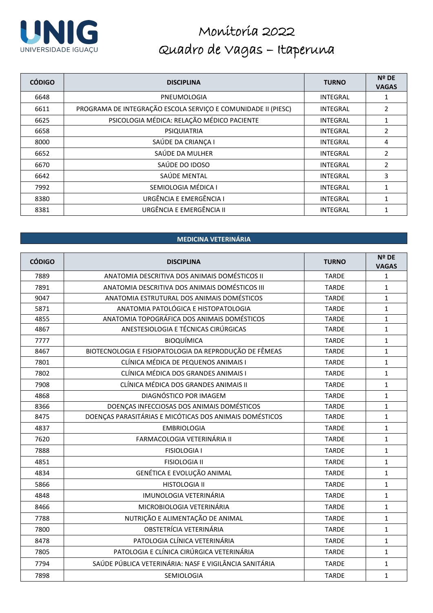

| <b>CÓDIGO</b> | <b>DISCIPLINA</b>                                             | <b>TURNO</b>    | Nº DE<br><b>VAGAS</b> |
|---------------|---------------------------------------------------------------|-----------------|-----------------------|
| 6648          | PNEUMOLOGIA                                                   | <b>INTEGRAL</b> |                       |
| 6611          | PROGRAMA DE INTEGRAÇÃO ESCOLA SERVIÇO E COMUNIDADE II (PIESC) | <b>INTEGRAL</b> | $\overline{2}$        |
| 6625          | PSICOLOGIA MÉDICA: RELAÇÃO MÉDICO PACIENTE                    | <b>INTEGRAL</b> | 1                     |
| 6658          | PSIQUIATRIA                                                   | <b>INTEGRAL</b> | 2                     |
| 8000          | SAÚDE DA CRIANÇA I                                            | <b>INTEGRAL</b> | 4                     |
| 6652          | SAÚDE DA MULHER                                               | <b>INTEGRAL</b> | 2                     |
| 6670          | SAÚDE DO IDOSO                                                | <b>INTEGRAL</b> | 2                     |
| 6642          | SAÚDE MENTAL                                                  | <b>INTEGRAL</b> | 3                     |
| 7992          | SEMIOLOGIA MÉDICA I                                           | <b>INTEGRAL</b> | 1                     |
| 8380          | URGÊNCIA E EMERGÊNCIA I                                       | <b>INTEGRAL</b> | 1                     |
| 8381          | URGÊNCIA E EMERGÊNCIA II                                      | <b>INTEGRAL</b> | 1                     |

### **MEDICINA VETERINÁRIA**

| <b>CÓDIGO</b> | <b>DISCIPLINA</b>                                       | <b>TURNO</b> | Nº DE<br><b>VAGAS</b> |
|---------------|---------------------------------------------------------|--------------|-----------------------|
| 7889          | ANATOMIA DESCRITIVA DOS ANIMAIS DOMÉSTICOS II           | <b>TARDE</b> | $\mathbf{1}$          |
| 7891          | ANATOMIA DESCRITIVA DOS ANIMAIS DOMÉSTICOS III          | <b>TARDE</b> | $\mathbf{1}$          |
| 9047          | ANATOMIA ESTRUTURAL DOS ANIMAIS DOMÉSTICOS              | <b>TARDE</b> | $\mathbf{1}$          |
| 5871          | ANATOMIA PATOLÓGICA E HISTOPATOLOGIA                    | <b>TARDE</b> | $\mathbf{1}$          |
| 4855          | ANATOMIA TOPOGRÁFICA DOS ANIMAIS DOMÉSTICOS             | <b>TARDE</b> | 1                     |
| 4867          | ANESTESIOLOGIA E TÉCNICAS CIRÚRGICAS                    | <b>TARDE</b> | $\mathbf{1}$          |
| 7777          | <b>BIOQUÍMICA</b>                                       | <b>TARDE</b> | $\mathbf{1}$          |
| 8467          | BIOTECNOLOGIA E FISIOPATOLOGIA DA REPRODUÇÃO DE FÊMEAS  | <b>TARDE</b> | $\mathbf{1}$          |
| 7801          | CLÍNICA MÉDICA DE PEQUENOS ANIMAIS I                    | <b>TARDE</b> | $\mathbf{1}$          |
| 7802          | CLÍNICA MÉDICA DOS GRANDES ANIMAIS I                    | <b>TARDE</b> | $\mathbf{1}$          |
| 7908          | CLÍNICA MÉDICA DOS GRANDES ANIMAIS II                   | <b>TARDE</b> | $\mathbf{1}$          |
| 4868          | DIAGNÓSTICO POR IMAGEM                                  | <b>TARDE</b> | $\mathbf{1}$          |
| 8366          | DOENÇAS INFECCIOSAS DOS ANIMAIS DOMÉSTICOS              | <b>TARDE</b> | 1                     |
| 8475          | DOENÇAS PARASITÁRIAS E MICÓTICAS DOS ANIMAIS DOMÉSTICOS | <b>TARDE</b> | $\mathbf{1}$          |
| 4837          | <b>EMBRIOLOGIA</b>                                      | <b>TARDE</b> | $\mathbf{1}$          |
| 7620          | FARMACOLOGIA VETERINÁRIA II                             | <b>TARDE</b> | $\mathbf{1}$          |
| 7888          | <b>FISIOLOGIA I</b>                                     | <b>TARDE</b> | $\mathbf{1}$          |
| 4851          | <b>FISIOLOGIA II</b>                                    | <b>TARDE</b> | $\mathbf{1}$          |
| 4834          | GENÉTICA E EVOLUÇÃO ANIMAL                              | <b>TARDE</b> | $\mathbf{1}$          |
| 5866          | <b>HISTOLOGIA II</b>                                    | <b>TARDE</b> | $\mathbf{1}$          |
| 4848          | <b>IMUNOLOGIA VETERINÁRIA</b>                           | <b>TARDE</b> | $\mathbf{1}$          |
| 8466          | MICROBIOLOGIA VETERINÁRIA                               | <b>TARDE</b> | $\mathbf{1}$          |
| 7788          | NUTRIÇÃO E ALIMENTAÇÃO DE ANIMAL                        | <b>TARDE</b> | $\mathbf{1}$          |
| 7800          | OBSTETRÍCIA VETERINÁRIA                                 | <b>TARDE</b> | $\mathbf{1}$          |
| 8478          | PATOLOGIA CLÍNICA VETERINÁRIA                           | <b>TARDE</b> | $\mathbf{1}$          |
| 7805          | PATOLOGIA E CLÍNICA CIRÚRGICA VETERINÁRIA               | <b>TARDE</b> | $\mathbf{1}$          |
| 7794          | SAÚDE PÚBLICA VETERINÁRIA: NASF E VIGILÂNCIA SANITÁRIA  | <b>TARDE</b> | $\mathbf{1}$          |
| 7898          | SEMIOLOGIA                                              | <b>TARDE</b> | $\mathbf{1}$          |